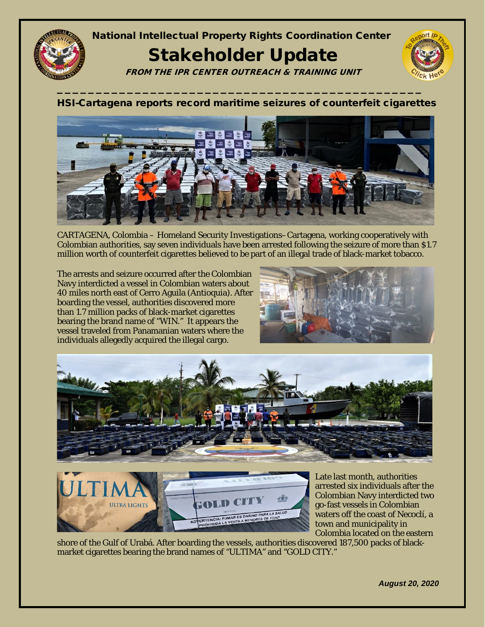

## National Intellectual Property Rights Coordination Center

## Stakeholder Update

FROM THE IPR CENTER OUTREACH & TRAINING UNIT

**\_\_\_\_\_\_\_\_\_\_\_\_\_\_\_\_\_\_\_\_\_\_\_\_\_\_\_\_\_\_\_\_\_\_\_\_\_\_\_\_\_\_\_\_\_\_\_**

## HSI-Cartagena reports record maritime seizures of counterfeit cigarettes



CARTAGENA, Colombia – Homeland Security Investigations–Cartagena, working cooperatively with Colombian authorities, say seven individuals have been arrested following the seizure of more than \$1.7 million worth of counterfeit cigarettes believed to be part of an illegal trade of black-market tobacco.

The arrests and seizure occurred after the Colombian Navy interdicted a vessel in Colombian waters about 40 miles north east of Cerro Aguila (Antioquia). After boarding the vessel, authorities discovered more than 1.7 million packs of black-market cigarettes bearing the brand name of "WIN." It appears the vessel traveled from Panamanian waters where the individuals allegedly acquired the illegal cargo.







Late last month, authorities arrested six individuals after the Colombian Navy interdicted two go-fast vessels in Colombian waters off the coast of Necoclí, a town and municipality in Colombia located on the eastern

shore of the Gulf of Urabá. After boarding the vessels, authorities discovered 187,500 packs of blackmarket cigarettes bearing the brand names of "ULTIMA" and "GOLD CITY."